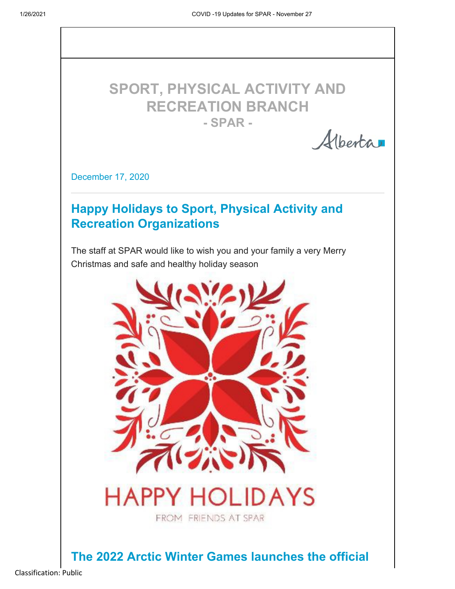

Alberta

December 17, 2020

# **Happy Holidays to Sport, Physical Activity and Recreation Organizations**

The staff at SPAR would like to wish you and your family a very Merry Christmas and safe and healthy holiday season



**The 2022 Arctic Winter Games launches the official**

Classification: Public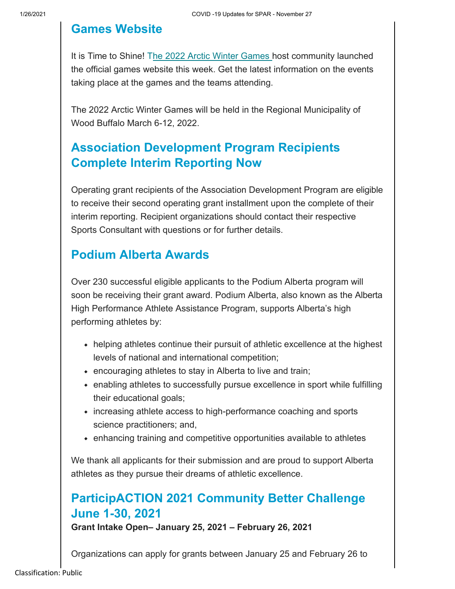# **Games Website**

It is Time to Shine! The 2022 Arctic Winter Games host community launched the official games website this week. Get the latest information on the events taking place at the games and the teams attending.

The 2022 Arctic Winter Games will be held in the Regional Municipality of Wood Buffalo March 6-12, 2022.

# **Association Development Program Recipients Complete Interim Reporting Now**

Operating grant recipients of the Association Development Program are eligible to receive their second operating grant installment upon the complete of their interim reporting. Recipient organizations should contact their respective Sports Consultant with questions or for further details.

# **Podium Alberta Awards**

Over 230 successful eligible applicants to the Podium Alberta program will soon be receiving their grant award. Podium Alberta, also known as the Alberta High Performance Athlete Assistance Program, supports Alberta's high performing athletes by:

- helping athletes continue their pursuit of athletic excellence at the highest levels of national and international competition;
- encouraging athletes to stay in Alberta to live and train;
- enabling athletes to successfully pursue excellence in sport while fulfilling their educational goals;
- increasing athlete access to high-performance coaching and sports science practitioners; and,
- enhancing training and competitive opportunities available to athletes

We thank all applicants for their submission and are proud to support Alberta athletes as they pursue their dreams of athletic excellence.

# **ParticipACTION 2021 Community Better Challenge June 1-30, 2021**

**Grant Intake Open– January 25, 2021 – February 26, 2021**

Organizations can apply for grants between January 25 and February 26 to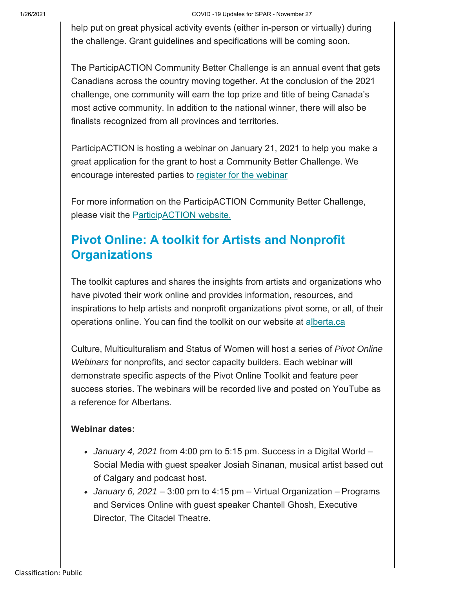#### 1/26/2021 COVID -19 Updates for SPAR - November 27

help put on great physical activity events (either in-person or virtually) during the challenge. Grant guidelines and specifications will be coming soon.

The ParticipACTION Community Better Challenge is an annual event that gets Canadians across the country moving together. At the conclusion of the 2021 challenge, one community will earn the top prize and title of being Canada's most active community. In addition to the national winner, there will also be finalists recognized from all provinces and territories.

ParticipACTION is hosting a webinar on January 21, 2021 to help you make a great application for the grant to host a Community Better Challenge. We encourage interested parties to register for the webinar

For more information on the ParticipACTION Community Better Challenge, please visit the ParticipACTION website.

# **Pivot Online: A toolkit for Artists and Nonprofit Organizations**

The toolkit captures and shares the insights from artists and organizations who have pivoted their work online and provides information, resources, and inspirations to help artists and nonprofit organizations pivot some, or all, of their operations online. You can find the toolkit on our website at alberta.ca

Culture, Multiculturalism and Status of Women will host a series of *Pivot Online Webinars* for nonprofits, and sector capacity builders. Each webinar will demonstrate specific aspects of the Pivot Online Toolkit and feature peer success stories. The webinars will be recorded live and posted on YouTube as a reference for Albertans.

#### **Webinar dates:**

- *January 4, 2021* from 4:00 pm to 5:15 pm. Success in a Digital World Social Media with guest speaker Josiah Sinanan, musical artist based out of Calgary and podcast host.
- *January 6, 2021*  3:00 pm to 4:15 pm Virtual Organization Programs and Services Online with guest speaker Chantell Ghosh, Executive Director, The Citadel Theatre.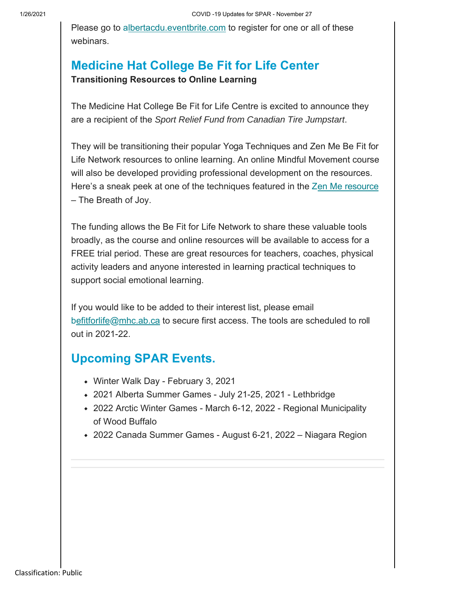Please go to albertacdu.eventbrite.com to register for one or all of these webinars.

# **Medicine Hat College Be Fit for Life Center Transitioning Resources to Online Learning**

The Medicine Hat College Be Fit for Life Centre is excited to announce they are a recipient of the *Sport Relief Fund from Canadian Tire Jumpstart*.

They will be transitioning their popular Yoga Techniques and Zen Me Be Fit for Life Network resources to online learning. An online Mindful Movement course will also be developed providing professional development on the resources. Here's a sneak peek at one of the techniques featured in the Zen Me resource – The Breath of Joy.

The funding allows the Be Fit for Life Network to share these valuable tools broadly, as the course and online resources will be available to access for a FREE trial period. These are great resources for teachers, coaches, physical activity leaders and anyone interested in learning practical techniques to support social emotional learning.

If you would like to be added to their interest list, please email befitforlife@mhc.ab.ca to secure first access. The tools are scheduled to roll out in 2021-22.

# **Upcoming SPAR Events.**

- Winter Walk Day February 3, 2021
- 2021 Alberta Summer Games July 21-25, 2021 Lethbridge
- 2022 Arctic Winter Games March 6-12, 2022 Regional Municipality of Wood Buffalo
- 2022 Canada Summer Games August 6-21, 2022 Niagara Region